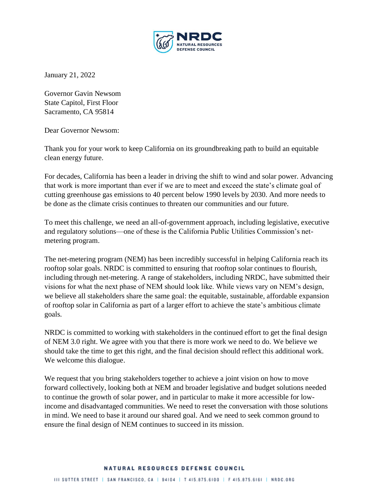

January 21, 2022

Governor Gavin Newsom State Capitol, First Floor Sacramento, CA 95814

Dear Governor Newsom:

Thank you for your work to keep California on its groundbreaking path to build an equitable clean energy future.

For decades, California has been a leader in driving the shift to wind and solar power. Advancing that work is more important than ever if we are to meet and exceed the state's climate goal of cutting greenhouse gas emissions to 40 percent below 1990 levels by 2030. And more needs to be done as the climate crisis continues to threaten our communities and our future.

To meet this challenge, we need an all-of-government approach, including legislative, executive and regulatory solutions—one of these is the California Public Utilities Commission's netmetering program.

The net-metering program (NEM) has been incredibly successful in helping California reach its rooftop solar goals. NRDC is committed to ensuring that rooftop solar continues to flourish, including through net-metering. A range of stakeholders, including NRDC, have submitted their visions for what the next phase of NEM should look like. While views vary on NEM's design, we believe all stakeholders share the same goal: the equitable, sustainable, affordable expansion of rooftop solar in California as part of a larger effort to achieve the state's ambitious climate goals.

NRDC is committed to working with stakeholders in the continued effort to get the final design of NEM 3.0 right. We agree with you that there is more work we need to do. We believe we should take the time to get this right, and the final decision should reflect this additional work. We welcome this dialogue.

We request that you bring stakeholders together to achieve a joint vision on how to move forward collectively, looking both at NEM and broader legislative and budget solutions needed to continue the growth of solar power, and in particular to make it more accessible for lowincome and disadvantaged communities. We need to reset the conversation with those solutions in mind. We need to base it around our shared goal. And we need to seek common ground to ensure the final design of NEM continues to succeed in its mission.